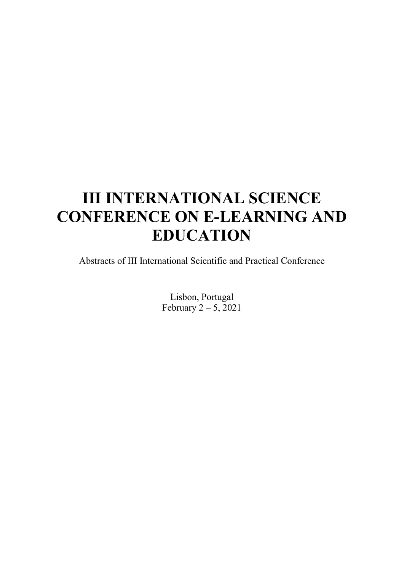# III INTERNATIONAL SCIENCE CONFERENCE ON E-LEARNING AND EDUCATION

Abstracts of III International Scientific and Practical Conference

Lisbon, Portugal February  $2 - 5$ , 2021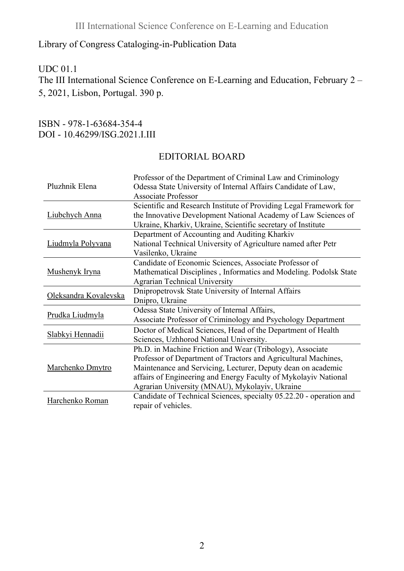## Library of Congress Cataloging-in-Publication Data

#### UDC 01.1

The III International Science Conference on E-Learning and Education, February 2 – 5, 2021, Lisbon, Portugal. 390 p.

#### ISBN - 978-1-63684-354-4 DOI - 10.46299/ISG.2021.I.III

#### EDITORIAL BOARD

| Pluzhnik Elena        | Professor of the Department of Criminal Law and Criminology<br>Odessa State University of Internal Affairs Candidate of Law,<br><b>Associate Professor</b>                                                                                                                                                       |
|-----------------------|------------------------------------------------------------------------------------------------------------------------------------------------------------------------------------------------------------------------------------------------------------------------------------------------------------------|
| Liubchych Anna        | Scientific and Research Institute of Providing Legal Framework for<br>the Innovative Development National Academy of Law Sciences of<br>Ukraine, Kharkiv, Ukraine, Scientific secretary of Institute                                                                                                             |
| Liudmyla Polyvana     | Department of Accounting and Auditing Kharkiv<br>National Technical University of Agriculture named after Petr<br>Vasilenko, Ukraine                                                                                                                                                                             |
| Mushenyk Iryna        | Candidate of Economic Sciences, Associate Professor of<br>Mathematical Disciplines, Informatics and Modeling. Podolsk State<br><b>Agrarian Technical University</b>                                                                                                                                              |
| Oleksandra Kovalevska | Dnipropetrovsk State University of Internal Affairs<br>Dnipro, Ukraine                                                                                                                                                                                                                                           |
| Prudka Liudmyla       | Odessa State University of Internal Affairs,<br>Associate Professor of Criminology and Psychology Department                                                                                                                                                                                                     |
| Slabkyi Hennadii      | Doctor of Medical Sciences, Head of the Department of Health<br>Sciences, Uzhhorod National University.                                                                                                                                                                                                          |
| Marchenko Dmytro      | Ph.D. in Machine Friction and Wear (Tribology), Associate<br>Professor of Department of Tractors and Agricultural Machines,<br>Maintenance and Servicing, Lecturer, Deputy dean on academic<br>affairs of Engineering and Energy Faculty of Mykolayiv National<br>Agrarian University (MNAU), Mykolayiv, Ukraine |
| Harchenko Roman       | Candidate of Technical Sciences, specialty 05.22.20 - operation and<br>repair of vehicles.                                                                                                                                                                                                                       |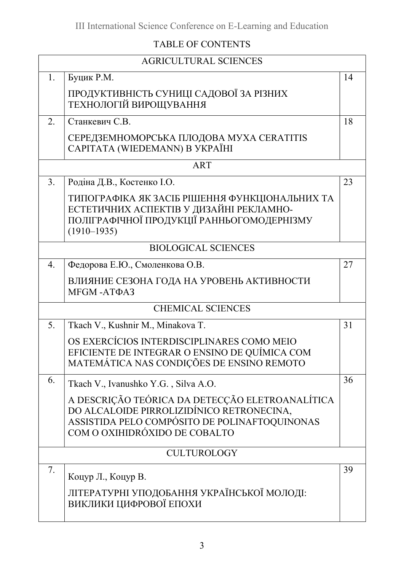# TABLE OF CONTENTS

| <b>AGRICULTURAL SCIENCES</b>                                                                                                                                                   |    |  |
|--------------------------------------------------------------------------------------------------------------------------------------------------------------------------------|----|--|
| Буцик Р.М.                                                                                                                                                                     | 14 |  |
| ПРОДУКТИВНІСТЬ СУНИЦІ САДОВОЇ ЗА РІЗНИХ<br>ТЕХНОЛОГІЙ ВИРОЩУВАННЯ                                                                                                              |    |  |
| Станкевич С.В.                                                                                                                                                                 | 18 |  |
| СЕРЕДЗЕМНОМОРСЬКА ПЛОДОВА МУХА CERATITIS<br>CAPITATA (WIEDEMANN) B YKPAÏHI                                                                                                     |    |  |
| <b>ART</b>                                                                                                                                                                     |    |  |
| Родіна Д.В., Костенко І.О.                                                                                                                                                     | 23 |  |
| ТИПОГРАФІКА ЯК ЗАСІБ РІШЕННЯ ФУНКЦІОНАЛЬНИХ ТА<br>ЕСТЕТИЧНИХ АСПЕКТІВ У ДИЗАЙНІ РЕКЛАМНО-<br>ПОЛІГРАФІЧНОЇ ПРОДУКЦІЇ РАННЬОГОМОДЕРНІЗМУ<br>$(1910 - 1935)$                     |    |  |
| <b>BIOLOGICAL SCIENCES</b>                                                                                                                                                     |    |  |
| Федорова Е.Ю., Смоленкова О.В.                                                                                                                                                 | 27 |  |
| ВЛИЯНИЕ СЕЗОНА ГОДА НА УРОВЕНЬ АКТИВНОСТИ<br>MFGM-ATΦA3                                                                                                                        |    |  |
| <b>CHEMICAL SCIENCES</b>                                                                                                                                                       |    |  |
| Tkach V., Kushnir M., Minakova T.                                                                                                                                              | 31 |  |
| OS EXERCÍCIOS INTERDISCIPLINARES COMO MEIO<br>EFICIENTE DE INTEGRAR O ENSINO DE QUÍMICA COM<br>MATEMÁTICA NAS CONDIÇÕES DE ENSINO REMOTO                                       |    |  |
| Tkach V., Ivanushko Y.G., Silva A.O.                                                                                                                                           | 36 |  |
| A DESCRIÇÃO TEÓRICA DA DETECÇÃO ELETROANALÍTICA<br>DO ALCALOIDE PIRROLIZIDÍNICO RETRONECINA,<br>ASSISTIDA PELO COMPÓSITO DE POLINAFTOQUINONAS<br>COM O OXIHIDRÓXIDO DE COBALTO |    |  |
| <b>CULTUROLOGY</b>                                                                                                                                                             |    |  |
| Коцур Л., Коцур В.<br>ЛІТЕРАТУРНІ УПОДОБАННЯ УКРАЇНСЬКОЇ МОЛОДІ:<br>ВИКЛИКИ ЦИФРОВОЇ ЕПОХИ                                                                                     | 39 |  |
|                                                                                                                                                                                |    |  |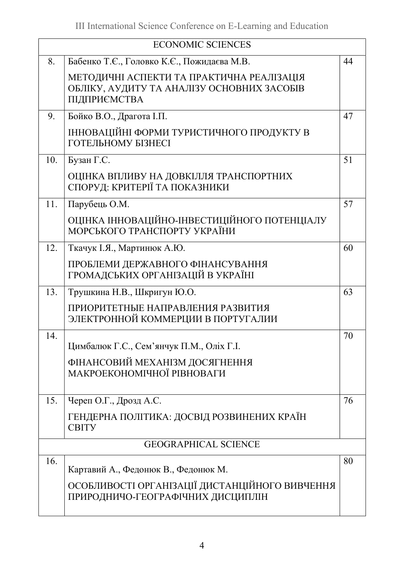| <b>ECONOMIC SCIENCES</b> |                                                                                                                            |    |  |
|--------------------------|----------------------------------------------------------------------------------------------------------------------------|----|--|
| 8.                       | Бабенко Т.Є., Головко К.Є., Пожидаєва М.В.                                                                                 | 44 |  |
|                          | МЕТОДИЧНІ АСПЕКТИ ТА ПРАКТИЧНА РЕАЛІЗАЦІЯ<br>ОБЛІКУ, АУДИТУ ТА АНАЛІЗУ ОСНОВНИХ ЗАСОБІВ<br>ПІДПРИЄМСТВА                    |    |  |
| 9.                       | Бойко В.О., Драгота І.П.                                                                                                   | 47 |  |
|                          | ІННОВАЦІЙНІ ФОРМИ ТУРИСТИЧНОГО ПРОДУКТУ В<br><b>ГОТЕЛЬНОМУ БІЗНЕСІ</b>                                                     |    |  |
| 10.                      | Бузан Г.С.                                                                                                                 | 51 |  |
|                          | ОЦІНКА ВПЛИВУ НА ДОВКІЛЛЯ ТРАНСПОРТНИХ<br>СПОРУД: КРИТЕРІЇ ТА ПОКАЗНИКИ                                                    |    |  |
| 11.                      | Парубець О.М.                                                                                                              | 57 |  |
|                          | ОЦІНКА ІННОВАЦІЙНО-ІНВЕСТИЦІЙНОГО ПОТЕНЦІАЛУ<br>МОРСЬКОГО ТРАНСПОРТУ УКРАЇНИ                                               |    |  |
| 12.                      | Ткачук І.Я., Мартинюк А.Ю.                                                                                                 | 60 |  |
|                          | ПРОБЛЕМИ ДЕРЖАВНОГО ФІНАНСУВАННЯ<br>ГРОМАДСЬКИХ ОРГАНІЗАЦІЙ В УКРАЇНІ                                                      |    |  |
| 13.                      | Трушкина Н.В., Шкригун Ю.О.                                                                                                | 63 |  |
|                          | ПРИОРИТЕТНЫЕ НАПРАВЛЕНИЯ РАЗВИТИЯ<br>ЭЛЕКТРОННОЙ КОММЕРЦИИ В ПОРТУГАЛИИ                                                    |    |  |
| 14.                      | Цимбалюк Г.С., Сем'янчук П.М., Оліх Г.І.                                                                                   | 70 |  |
|                          | ФІНАНСОВИЙ МЕХАНІЗМ ДОСЯГНЕННЯ<br>МАКРОЕКОНОМІЧНОЇ РІВНОВАГИ                                                               |    |  |
| 15.                      | Череп О.Г., Дрозд А.С.                                                                                                     | 76 |  |
|                          | ГЕНДЕРНА ПОЛІТИКА: ДОСВІД РОЗВИНЕНИХ КРАЇН<br><b>CBITY</b>                                                                 |    |  |
|                          | <b>GEOGRAPHICAL SCIENCE</b>                                                                                                |    |  |
| 16.                      | Картавий А., Федонюк В., Федонюк М.<br>ОСОБЛИВОСТІ ОРГАНІЗАЦІЇ ДИСТАНЦІЙНОГО ВИВЧЕННЯ<br>ПРИРОДНИЧО-ГЕОГРАФІЧНИХ ДИСЦИПЛІН | 80 |  |
|                          |                                                                                                                            |    |  |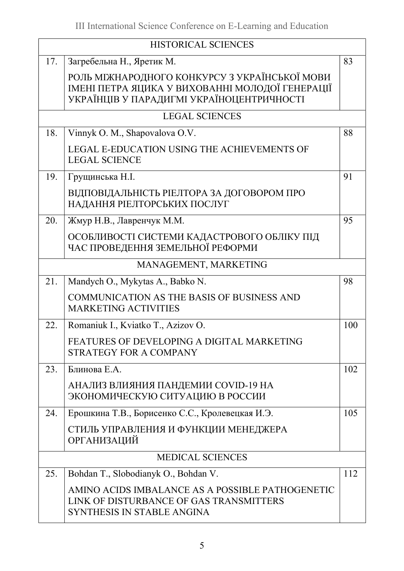| <b>HISTORICAL SCIENCES</b> |                                                                                                                                               |     |
|----------------------------|-----------------------------------------------------------------------------------------------------------------------------------------------|-----|
| 17.                        | Загребельна Н., Яретик М.                                                                                                                     | 83  |
|                            | РОЛЬ МІЖНАРОДНОГО КОНКУРСУ З УКРАЇНСЬКОЇ МОВИ<br>ІМЕНІ ПЕТРА ЯЦИКА У ВИХОВАННІ МОЛОДОЇ ГЕНЕРАЦІЇ<br>УКРАЇНЦІВ У ПАРАДИГМІ УКРАЇНОЦЕНТРИЧНОСТІ |     |
|                            | <b>LEGAL SCIENCES</b>                                                                                                                         |     |
| 18.                        | Vinnyk O. M., Shapovalova O.V.                                                                                                                | 88  |
|                            | LEGAL E-EDUCATION USING THE ACHIEVEMENTS OF<br><b>LEGAL SCIENCE</b>                                                                           |     |
| 19.                        | Грущинська Н.І.                                                                                                                               | 91  |
|                            | ВІДПОВІДАЛЬНІСТЬ РІЕЛТОРА ЗА ДОГОВОРОМ ПРО<br>НАДАННЯ РІЕЛТОРСЬКИХ ПОСЛУГ                                                                     |     |
| 20.                        | Жмур Н.В., Лавренчук М.М.                                                                                                                     | 95  |
|                            | ОСОБЛИВОСТІ СИСТЕМИ КАДАСТРОВОГО ОБЛІКУ ПІД<br>ЧАС ПРОВЕДЕННЯ ЗЕМЕЛЬНОЇ РЕФОРМИ                                                               |     |
|                            | MANAGEMENT, MARKETING                                                                                                                         |     |
| 21.                        | Mandych O., Mykytas A., Babko N.                                                                                                              | 98  |
|                            | <b>COMMUNICATION AS THE BASIS OF BUSINESS AND</b><br><b>MARKETING ACTIVITIES</b>                                                              |     |
| 22.                        | Romaniuk I., Kviatko T., Azizov O.                                                                                                            | 100 |
|                            | FEATURES OF DEVELOPING A DIGITAL MARKETING<br><b>STRATEGY FOR A COMPANY</b>                                                                   |     |
| 23.                        | Блинова Е.А.                                                                                                                                  | 102 |
|                            | АНАЛИЗ ВЛИЯНИЯ ПАНДЕМИИ COVID-19 НА<br>ЭКОНОМИЧЕСКУЮ СИТУАЦИЮ В РОССИИ                                                                        |     |
| 24.                        | Ерошкина Т.В., Борисенко С.С., Кролевецкая И.Э.                                                                                               | 105 |
|                            | СТИЛЬ УПРАВЛЕНИЯ И ФУНКЦИИ МЕНЕДЖЕРА<br><b>ОРГАНИЗАЦИЙ</b>                                                                                    |     |
| <b>MEDICAL SCIENCES</b>    |                                                                                                                                               |     |
| 25.                        | Bohdan T., Slobodianyk O., Bohdan V.                                                                                                          | 112 |
|                            | AMINO ACIDS IMBALANCE AS A POSSIBLE PATHOGENETIC<br>LINK OF DISTURBANCE OF GAS TRANSMITTERS<br>SYNTHESIS IN STABLE ANGINA                     |     |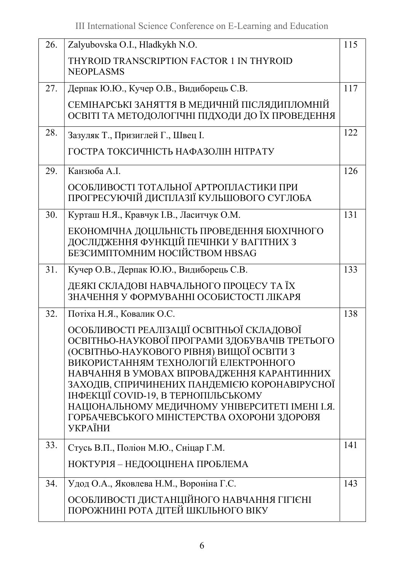| 26. | Zalyubovska O.I., Hladkykh N.O.                                                                                                                                                                                                                                                                                                                                                                                                         | 115 |
|-----|-----------------------------------------------------------------------------------------------------------------------------------------------------------------------------------------------------------------------------------------------------------------------------------------------------------------------------------------------------------------------------------------------------------------------------------------|-----|
|     | THYROID TRANSCRIPTION FACTOR 1 IN THYROID<br><b>NEOPLASMS</b>                                                                                                                                                                                                                                                                                                                                                                           |     |
| 27. | Дерпак Ю.Ю., Кучер О.В., Видиборець С.В.                                                                                                                                                                                                                                                                                                                                                                                                | 117 |
|     | СЕМІНАРСЬКІ ЗАНЯТТЯ В МЕДИЧНІЙ ПІСЛЯДИПЛОМНІЙ<br>ОСВІТІ ТА МЕТОДОЛОГІЧНІ ПІДХОДИ ДО ЇХ ПРОВЕДЕННЯ                                                                                                                                                                                                                                                                                                                                       |     |
| 28. | Зазуляк Т., Призиглей Г., Швец І.                                                                                                                                                                                                                                                                                                                                                                                                       | 122 |
|     | ГОСТРА ТОКСИЧНІСТЬ НАФАЗОЛІН НІТРАТУ                                                                                                                                                                                                                                                                                                                                                                                                    |     |
| 29. | Канзюба А.І.                                                                                                                                                                                                                                                                                                                                                                                                                            | 126 |
|     | ОСОБЛИВОСТІ ТОТАЛЬНОЇ АРТРОПЛАСТИКИ ПРИ<br>ПРОГРЕСУЮЧІЙ ДИСПЛАЗІЇ КУЛЬШОВОГО СУГЛОБА                                                                                                                                                                                                                                                                                                                                                    |     |
| 30. | Курташ Н.Я., Кравчук І.В., Ласитчук О.М.                                                                                                                                                                                                                                                                                                                                                                                                | 131 |
|     | ЕКОНОМІЧНА ДОЦІЛЬНІСТЬ ПРОВЕДЕННЯ БІОХІЧНОГО<br>ДОСЛІДЖЕННЯ ФУНКЦІЙ ПЕЧІНКИ У ВАГІТНИХ З<br>БЕЗСИМПТОМНИМ НОСІЙСТВОМ HBSAG                                                                                                                                                                                                                                                                                                              |     |
| 31. | Кучер О.В., Дерпак Ю.Ю., Видиборець С.В.                                                                                                                                                                                                                                                                                                                                                                                                | 133 |
|     | ДЕЯКІ СКЛАДОВІ НАВЧАЛЬНОГО ПРОЦЕСУ ТА ЇХ<br>ЗНАЧЕННЯ У ФОРМУВАННІ ОСОБИСТОСТІ ЛІКАРЯ                                                                                                                                                                                                                                                                                                                                                    |     |
| 32. | Потіха Н.Я., Ковалик О.С.                                                                                                                                                                                                                                                                                                                                                                                                               | 138 |
|     | ОСОБЛИВОСТІ РЕАЛІЗАЦІЇ ОСВІТНЬОЇ СКЛАДОВОЇ<br>ОСВІТНЬО-НАУКОВОЇ ПРОГРАМИ ЗДОБУВАЧІВ ТРЕТЬОГО<br>(ОСВІТНЬО-НАУКОВОГО РІВНЯ) ВИЩОЇ ОСВІТИ З<br>ВИКОРИСТАННЯМ ТЕХНОЛОГІЙ ЕЛЕКТРОННОГО<br>НАВЧАННЯ В УМОВАХ ВПРОВАДЖЕННЯ КАРАНТИННИХ<br>ЗАХОДІВ, СПРИЧИНЕНИХ ПАНДЕМІЄЮ КОРОНАВІРУСНОЇ<br>ІНФЕКЦІЇ COVID-19, В ТЕРНОПІЛЬСЬКОМУ<br>НАЦІОНАЛЬНОМУ МЕДИЧНОМУ УНІВЕРСИТЕТІ ІМЕНІ І.Я.<br>ГОРБАЧЕВСЬКОГО МІНІСТЕРСТВА ОХОРОНИ ЗДОРОВ'Я<br>УКРАЇНИ |     |
| 33. | Стусь В.П., Поліон М.Ю., Сніцар Г.М.                                                                                                                                                                                                                                                                                                                                                                                                    | 141 |
|     | НОКТУРІЯ – НЕДООЦІНЕНА ПРОБЛЕМА                                                                                                                                                                                                                                                                                                                                                                                                         |     |
| 34. | Удод О.А., Яковлева Н.М., Вороніна Г.С.                                                                                                                                                                                                                                                                                                                                                                                                 | 143 |
|     | ОСОБЛИВОСТІ ДИСТАНЦІЙНОГО НАВЧАННЯ ГІГІЄНІ<br>ПОРОЖНИНІ РОТА ДІТЕЙ ШКІЛЬНОГО ВІКУ                                                                                                                                                                                                                                                                                                                                                       |     |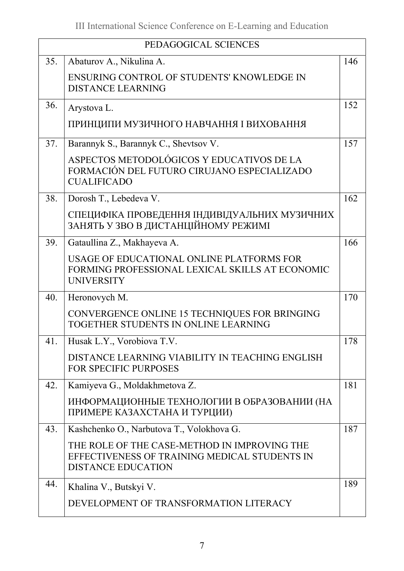| PEDAGOGICAL SCIENCES |                                                                                                                            |     |
|----------------------|----------------------------------------------------------------------------------------------------------------------------|-----|
| 35.                  | Abaturov A., Nikulina A.                                                                                                   | 146 |
|                      | ENSURING CONTROL OF STUDENTS' KNOWLEDGE IN<br><b>DISTANCE LEARNING</b>                                                     |     |
| 36.                  | Arystova L.                                                                                                                | 152 |
|                      | ПРИНЦИПИ МУЗИЧНОГО НАВЧАННЯ І ВИХОВАННЯ                                                                                    |     |
| 37.                  | Barannyk S., Barannyk C., Shevtsov V.                                                                                      | 157 |
|                      | ASPECTOS METODOLÓGICOS Y EDUCATIVOS DE LA<br>FORMACIÓN DEL FUTURO CIRUJANO ESPECIALIZADO<br><b>CUALIFICADO</b>             |     |
| 38.                  | Dorosh T., Lebedeva V.                                                                                                     | 162 |
|                      | СПЕЦИФІКА ПРОВЕДЕННЯ ІНДИВІДУАЛЬНИХ МУЗИЧНИХ<br>ЗАНЯТЬ У ЗВО В ДИСТАНЦІЙНОМУ РЕЖИМІ                                        |     |
| 39.                  | Gataullina Z., Makhayeva A.                                                                                                | 166 |
|                      | USAGE OF EDUCATIONAL ONLINE PLATFORMS FOR<br>FORMING PROFESSIONAL LEXICAL SKILLS AT ECONOMIC<br><b>UNIVERSITY</b>          |     |
| 40.                  | Heronovych M.                                                                                                              | 170 |
|                      | CONVERGENCE ONLINE 15 TECHNIQUES FOR BRINGING<br>TOGETHER STUDENTS IN ONLINE LEARNING                                      |     |
| 41.                  | Husak L.Y., Vorobiova T.V.                                                                                                 | 178 |
|                      | DISTANCE LEARNING VIABILITY IN TEACHING ENGLISH<br><b>FOR SPECIFIC PURPOSES</b>                                            |     |
| 42.                  | Kamiyeva G., Moldakhmetova Z.                                                                                              | 181 |
|                      | ИНФОРМАЦИОННЫЕ ТЕХНОЛОГИИ В ОБРАЗОВАНИИ (НА<br>ПРИМЕРЕ КАЗАХСТАНА И ТУРЦИИ)                                                |     |
| 43.                  | Kashchenko O., Narbutova T., Volokhova G.                                                                                  | 187 |
|                      | THE ROLE OF THE CASE-METHOD IN IMPROVING THE<br>EFFECTIVENESS OF TRAINING MEDICAL STUDENTS IN<br><b>DISTANCE EDUCATION</b> |     |
| 44.                  | Khalina V., Butskyi V.                                                                                                     | 189 |
|                      | DEVELOPMENT OF TRANSFORMATION LITERACY                                                                                     |     |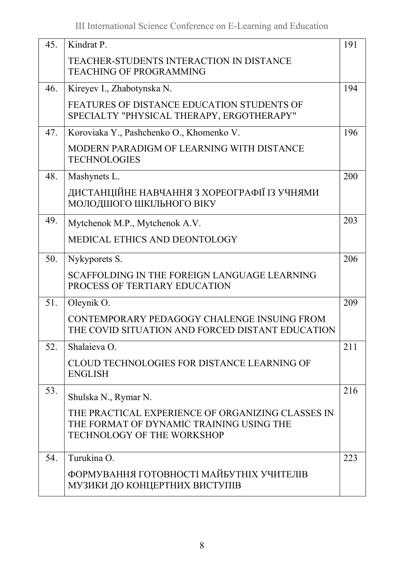| 45. | Kindrat P.                                                                                                                         | 191 |
|-----|------------------------------------------------------------------------------------------------------------------------------------|-----|
|     | <b>TEACHER-STUDENTS INTERACTION IN DISTANCE</b><br><b>TEACHING OF PROGRAMMING</b>                                                  |     |
| 46. | Kireyev I., Zhabotynska N.                                                                                                         | 194 |
|     | FEATURES OF DISTANCE EDUCATION STUDENTS OF<br>SPECIALTY "PHYSICAL THERAPY, ERGOTHERAPY"                                            |     |
| 47. | Koroviaka Y., Pashchenko O., Khomenko V.                                                                                           | 196 |
|     | MODERN PARADIGM OF LEARNING WITH DISTANCE<br><b>TECHNOLOGIES</b>                                                                   |     |
| 48. | Mashynets L.                                                                                                                       | 200 |
|     | ДИСТАНЦІЙНЕ НАВЧАННЯ З ХОРЕОГРАФІЇ ІЗ УЧНЯМИ<br>МОЛОДШОГО ШКІЛЬНОГО ВІКУ                                                           |     |
| 49. | Mytchenok M.P., Mytchenok A.V.                                                                                                     | 203 |
|     | <b>MEDICAL ETHICS AND DEONTOLOGY</b>                                                                                               |     |
| 50. | Nykyporets S.                                                                                                                      | 206 |
|     | SCAFFOLDING IN THE FOREIGN LANGUAGE LEARNING<br>PROCESS OF TERTIARY EDUCATION                                                      |     |
| 51. | Oleynik O.                                                                                                                         | 209 |
|     | CONTEMPORARY PEDAGOGY CHALENGE INSUING FROM<br>THE COVID SITUATION AND FORCED DISTANT EDUCATION                                    |     |
| 52. | Shalaieva O.                                                                                                                       | 211 |
|     | CLOUD TECHNOLOGIES FOR DISTANCE LEARNING OF<br><b>ENGLISH</b>                                                                      |     |
| 53. | Shulska N., Rymar N.                                                                                                               | 216 |
|     | THE PRACTICAL EXPERIENCE OF ORGANIZING CLASSES IN<br>THE FORMAT OF DYNAMIC TRAINING USING THE<br><b>TECHNOLOGY OF THE WORKSHOP</b> |     |
| 54. | Turukina O.                                                                                                                        | 223 |
|     | ФОРМУВАННЯ ГОТОВНОСТІ МАЙБУТНІХ УЧИТЕЛІВ<br>МУЗИКИ ДО КОНЦЕРТНИХ ВИСТУПІВ                                                          |     |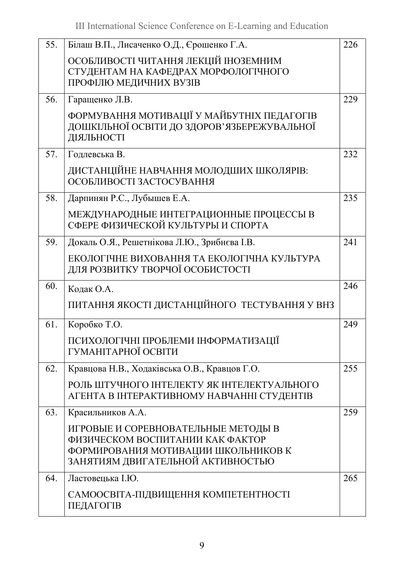| 55. | Білаш В.П., Лисаченко О.Д., Єрошенко Г.А.                                                                                                           | 226 |
|-----|-----------------------------------------------------------------------------------------------------------------------------------------------------|-----|
|     | ОСОБЛИВОСТІ ЧИТАННЯ ЛЕКЦІЙ ІНОЗЕМНИМ<br>СТУДЕНТАМ НА КАФЕДРАХ МОРФОЛОГІЧНОГО<br>ПРОФІЛЮ МЕДИЧНИХ ВУЗІВ                                              |     |
| 56. | Гаращенко Л.В.                                                                                                                                      | 229 |
|     | ФОРМУВАННЯ МОТИВАЦІЇ У МАЙБУТНІХ ПЕДАГОГІВ<br>ДОШКІЛЬНОЇ ОСВІТИ ДО ЗДОРОВ'ЯЗБЕРЕЖУВАЛЬНОЇ<br>ДІЯЛЬНОСТІ                                             |     |
| 57. | Годлевська В.                                                                                                                                       | 232 |
|     | ДИСТАНЦІЙНЕ НАВЧАННЯ МОЛОДШИХ ШКОЛЯРІВ:<br>ОСОБЛИВОСТІ ЗАСТОСУВАННЯ                                                                                 |     |
| 58. | Дарпинян Р.С., Лубышев Е.А.                                                                                                                         | 235 |
|     | МЕЖДУНАРОДНЫЕ ИНТЕГРАЦИОННЫЕ ПРОЦЕССЫ В<br>СФЕРЕ ФИЗИЧЕСКОЙ КУЛЬТУРЫ И СПОРТА                                                                       |     |
| 59. | Докаль О.Я., Решетнікова Л.Ю., Зрибнєва І.В.                                                                                                        | 241 |
|     | ЕКОЛОГІЧНЕ ВИХОВАННЯ ТА ЕКОЛОГІЧНА КУЛЬТУРА<br>ДЛЯ РОЗВИТКУ ТВОРЧОЇ ОСОБИСТОСТІ                                                                     |     |
| 60. | Кодак О.А.                                                                                                                                          | 246 |
|     | ПИТАННЯ ЯКОСТІ ДИСТАНЦІЙНОГО ТЕСТУВАННЯ У ВНЗ                                                                                                       |     |
| 61. | Коробко Т.О.                                                                                                                                        | 249 |
|     | ПСИХОЛОГІЧНІ ПРОБЛЕМИ ІНФОРМАТИЗАЦІЇ<br>ГУМАНІТАРНОЇ ОСВІТИ                                                                                         |     |
| 62. | Кравцова Н.В., Ходаківська О.В., Кравцов Г.О.                                                                                                       | 255 |
|     | РОЛЬ ШТУЧНОГО ІНТЕЛЕКТУ ЯК ІНТЕЛЕКТУАЛЬНОГО<br>АГЕНТА В ІНТЕРАКТИВНОМУ НАВЧАННІ СТУДЕНТІВ                                                           |     |
| 63. | Красильников А.А.                                                                                                                                   | 259 |
|     | ИГРОВЫЕ И СОРЕВНОВАТЕЛЬНЫЕ МЕТОДЫ В<br>ФИЗИЧЕСКОМ ВОСПИТАНИИ КАК ФАКТОР<br>ФОРМИРОВАНИЯ МОТИВАЦИИ ШКОЛЬНИКОВ К<br>ЗАНЯТИЯМ ДВИГАТЕЛЬНОЙ АКТИВНОСТЬЮ |     |
| 64. | Ластовецька І.Ю.                                                                                                                                    | 265 |
|     | САМООСВІТА-ПІДВИЩЕННЯ КОМПЕТЕНТНОСТІ<br>ПЕДАГОГІВ                                                                                                   |     |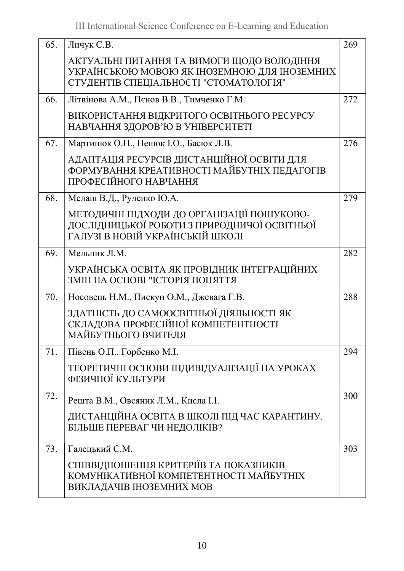| 65. | Личук С.В.                                                                                                                     | 269 |
|-----|--------------------------------------------------------------------------------------------------------------------------------|-----|
|     | АКТУАЛЬНІ ПИТАННЯ ТА ВИМОГИ ЩОДО ВОЛОДІННЯ<br>УКРАЇНСЬКОЮ МОВОЮ ЯК ІНОЗЕМНОЮ ДЛЯ ІНОЗЕМНИХ                                     |     |
|     | СТУДЕНТІВ СПЕЦІАЛЬНОСТІ "СТОМАТОЛОГІЯ"                                                                                         |     |
| 66. | Літвінова А.М., Пєнов В.В., Тимченко Г.М.                                                                                      | 272 |
|     | ВИКОРИСТАННЯ ВІДКРИТОГО ОСВІТНЬОГО РЕСУРСУ<br>НАВЧАННЯ ЗДОРОВ'Ю В УНІВЕРСИТЕТІ                                                 |     |
| 67. | Мартинюк О.П., Ненюк І.О., Басюк Л.В.                                                                                          | 276 |
|     | АДАПТАЦІЯ РЕСУРСІВ ДИСТАНЦІЙНОЇ ОСВІТИ ДЛЯ<br>ФОРМУВАННЯ КРЕАТИВНОСТІ МАЙБУТНІХ ПЕДАГОГІВ<br>ПРОФЕСІЙНОГО НАВЧАННЯ             |     |
| 68. | Мелаш В.Д., Руденко Ю.А.                                                                                                       | 279 |
|     | МЕТОДИЧНІ ПІДХОДИ ДО ОРГАНІЗАЦІЇ ПОШУКОВО-<br>ДОСЛІДНИЦЬКОЇ РОБОТИ З ПРИРОДНИЧОЇ ОСВІТНЬОЇ<br>ГАЛУЗІ В НОВІЙ УКРАЇНСЬКІЙ ШКОЛІ |     |
| 69. | Мельник Л.М.                                                                                                                   | 282 |
|     | УКРАЇНСЬКА ОСВІТА ЯК ПРОВІДНИК ІНТЕГРАЦІЙНИХ<br>ЗМІН НА ОСНОВІ "ІСТОРІЯ ПОНЯТТЯ                                                |     |
| 70. | Носовець Н.М., Пискун О.М., Джевага Г.В.                                                                                       | 288 |
|     | ЗДАТНІСТЬ ДО САМООСВІТНЬОЇ ДІЯЛЬНОСТІ ЯК<br>СКЛАДОВА ПРОФЕСІЙНОЇ КОМПЕТЕНТНОСТІ<br>МАЙБУТНЬОГО ВЧИТЕЛЯ                         |     |
| 71. | Півень О.П., Горбенко М.І.                                                                                                     | 294 |
|     | ТЕОРЕТИЧНІ ОСНОВИ ІНДИВІДУАЛІЗАЦІЇ НА УРОКАХ<br>ФІЗИЧНОЇ КУЛЬТУРИ                                                              |     |
| 72. | Решта В.М., Овсяник Л.М., Кисла І.І.                                                                                           | 300 |
|     | ДИСТАНЦІЙНА ОСВІТА В ШКОЛІ ПІД ЧАС КАРАНТИНУ.<br>БІЛЬШЕ ПЕРЕВАГ ЧИ НЕДОЛІКІВ?                                                  |     |
| 73. | Галецький С.М.                                                                                                                 | 303 |
|     | СПІВВІДНОШЕННЯ КРИТЕРІЇВ ТА ПОКАЗНИКІВ<br>КОМУНІКАТИВНОЇ КОМПЕТЕНТНОСТІ МАЙБУТНІХ<br>ВИКЛАДАЧІВ ІНОЗЕМНИХ МОВ                  |     |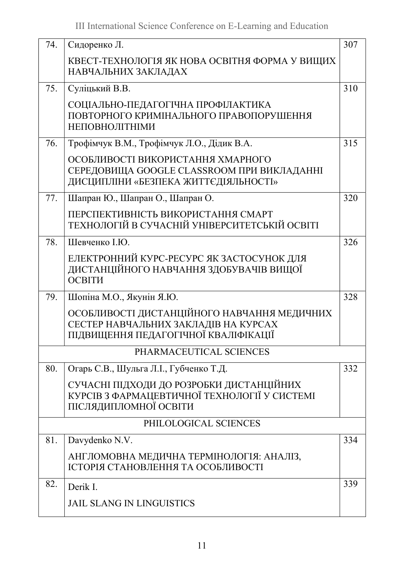| 74. | Сидоренко Л.                                                                                                                | 307 |
|-----|-----------------------------------------------------------------------------------------------------------------------------|-----|
|     |                                                                                                                             |     |
|     | КВЕСТ-ТЕХНОЛОГІЯ ЯК НОВА ОСВІТНЯ ФОРМА У ВИЩИХ<br>НАВЧАЛЬНИХ ЗАКЛАДАХ                                                       |     |
| 75. | Суліцький В.В.                                                                                                              | 310 |
|     | СОЦІАЛЬНО-ПЕДАГОГІЧНА ПРОФІЛАКТИКА<br>ПОВТОРНОГО КРИМІНАЛЬНОГО ПРАВОПОРУШЕННЯ<br><b>НЕПОВНОЛІТНІМИ</b>                      |     |
| 76. | Трофімчук В.М., Трофімчук Л.О., Дідик В.А.                                                                                  | 315 |
|     | ОСОБЛИВОСТІ ВИКОРИСТАННЯ ХМАРНОГО<br>СЕРЕДОВИЩА GOOGLE CLASSROOM ПРИ ВИКЛАДАННІ<br>ДИСЦИПЛІНИ «БЕЗПЕКА ЖИТТЄДІЯЛЬНОСТІ»     |     |
| 77. | Шапран Ю., Шапран О., Шапран О.                                                                                             | 320 |
|     | ПЕРСПЕКТИВНІСТЬ ВИКОРИСТАННЯ СМАРТ<br>ТЕХНОЛОГІЙ В СУЧАСНІЙ УНІВЕРСИТЕТСЬКІЙ ОСВІТІ                                         |     |
| 78. | Шевченко І.Ю.                                                                                                               | 326 |
|     | ЕЛЕКТРОННИЙ КУРС-РЕСУРС ЯК ЗАСТОСУНОК ДЛЯ<br>ДИСТАНЦІЙНОГО НАВЧАННЯ ЗДОБУВАЧІВ ВИЩОЇ<br>ОСВІТИ                              |     |
| 79. | Шопіна М.О., Якунін Я.Ю.                                                                                                    | 328 |
|     | ОСОБЛИВОСТІ ДИСТАНЦІЙНОГО НАВЧАННЯ МЕДИЧНИХ<br>СЕСТЕР НАВЧАЛЬНИХ ЗАКЛАДІВ НА КУРСАХ<br>ПІДВИЩЕННЯ ПЕДАГОГІЧНОЇ КВАЛІФІКАЦІЇ |     |
|     | PHARMACEUTICAL SCIENCES                                                                                                     |     |
| 80. | Огарь С.В., Шульга Л.І., Губченко Т.Д.                                                                                      | 332 |
|     | СУЧАСНІ ПІДХОДИ ДО РОЗРОБКИ ДИСТАНЦІЙНИХ<br>КУРСІВ З ФАРМАЦЕВТИЧНОЇ ТЕХНОЛОГІЇ У СИСТЕМІ<br>ПІСЛЯДИПЛОМНОЇ ОСВІТИ           |     |
|     | PHILOLOGICAL SCIENCES                                                                                                       |     |
| 81. | Davydenko N.V.                                                                                                              | 334 |
|     | АНГЛОМОВНА МЕДИЧНА ТЕРМІНОЛОГІЯ: АНАЛІЗ,<br>ІСТОРІЯ СТАНОВЛЕННЯ ТА ОСОБЛИВОСТІ                                              |     |
| 82. | Derik I.                                                                                                                    | 339 |
|     | <b>JAIL SLANG IN LINGUISTICS</b>                                                                                            |     |
|     |                                                                                                                             |     |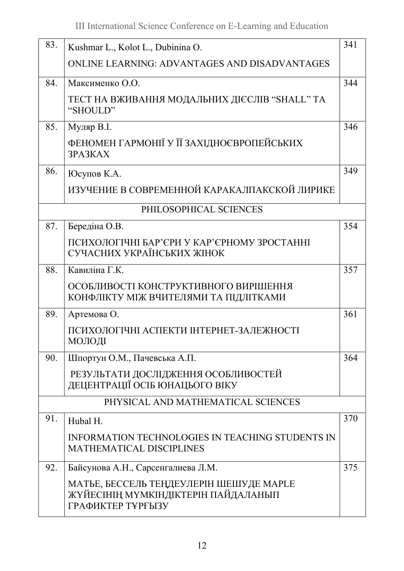| 83. | Kushmar L., Kolot L., Dubinina O.                                                                   | 341 |
|-----|-----------------------------------------------------------------------------------------------------|-----|
|     | ONLINE LEARNING: ADVANTAGES AND DISADVANTAGES                                                       |     |
| 84. | Максименко О.О.                                                                                     | 344 |
|     | ТЕСТ НА ВЖИВАННЯ МОДАЛЬНИХ ДІЄСЛІВ "SHALL" ТА<br>"SHOULD"                                           |     |
| 85. | Муляр В.І.                                                                                          | 346 |
|     | ФЕНОМЕН ГАРМОНІЇ У ЇЇ ЗАХІДНОЄВРОПЕЙСЬКИХ<br>3PA3KAX                                                |     |
| 86. | Юсупов К.А.                                                                                         | 349 |
|     | ИЗУЧЕНИЕ В СОВРЕМЕННОЙ КАРАКАЛПАКСКОЙ ЛИРИКЕ                                                        |     |
|     | PHILOSOPHICAL SCIENCES                                                                              |     |
| 87. | Бередіна О.В.                                                                                       | 354 |
|     | ПСИХОЛОГІЧНІ БАР'ЄРИ У КАР'ЄРНОМУ ЗРОСТАННІ<br>СУЧАСНИХ УКРАЇНСЬКИХ ЖІНОК                           |     |
| 88. | Кавиліна Г.К.                                                                                       | 357 |
|     | ОСОБЛИВОСТІ КОНСТРУКТИВНОГО ВИРІШЕННЯ<br>КОНФЛІКТУ МІЖ ВЧИТЕЛЯМИ ТА ПІДЛІТКАМИ                      |     |
| 89. | Артемова О.                                                                                         | 361 |
|     | ПСИХОЛОГІЧНІ АСПЕКТИ ІНТЕРНЕТ-ЗАЛЕЖНОСТІ<br>МОЛОДІ                                                  |     |
| 90. | Шпортун О.М., Пачевська А.П.                                                                        | 364 |
|     | РЕЗУЛЬТАТИ ДОСЛІДЖЕННЯ ОСОБЛИВОСТЕЙ<br>ДЕЦЕНТРАЦІЇ ОСІБ ЮНАЦЬОГО ВІКУ                               |     |
|     | PHYSICAL AND MATHEMATICAL SCIENCES                                                                  |     |
| 91. | Hubal H.                                                                                            | 370 |
|     | <b>INFORMATION TECHNOLOGIES IN TEACHING STUDENTS IN</b><br><b>MATHEMATICAL DISCIPLINES</b>          |     |
| 92. | Байсунова А.Н., Сарсенгалиева Л.М.                                                                  | 375 |
|     | МАТЬЕ, БЕССЕЛЬ ТЕҢДЕУЛЕРІН ШЕШУДЕ МАРLЕ<br>ЖҮЙЕСІНІҢ МҮМКІНДІКТЕРІН ПАЙДАЛАНЫП<br>ГРАФИКТЕР ТҰРҒЫЗУ |     |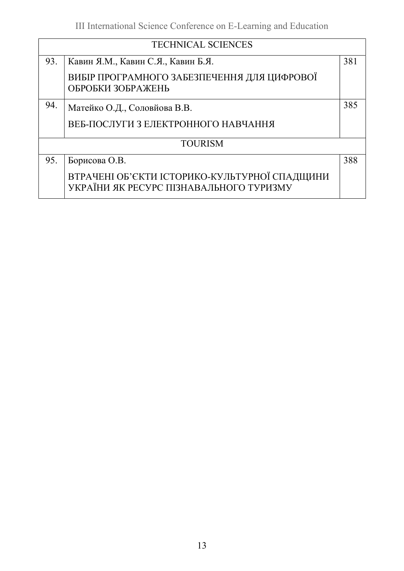|     | <b>TECHNICAL SCIENCES</b>                                                                |     |  |
|-----|------------------------------------------------------------------------------------------|-----|--|
| 93. | Кавин Я.М., Кавин С.Я., Кавин Б.Я.                                                       | 381 |  |
|     | ВИБІР ПРОГРАМНОГО ЗАБЕЗПЕЧЕННЯ ДЛЯ ЦИФРОВОЇ<br>ОБРОБКИ ЗОБРАЖЕНЬ                         |     |  |
| 94. | Матейко О.Д., Соловйова В.В.                                                             | 385 |  |
|     | ВЕБ-ПОСЛУГИ З ЕЛЕКТРОННОГО НАВЧАННЯ                                                      |     |  |
|     | <b>TOURISM</b>                                                                           |     |  |
| 95. | Борисова О.В.                                                                            | 388 |  |
|     | ВТРАЧЕНІ ОБ'ЄКТИ ІСТОРИКО-КУЛЬТУРНОЇ СПАДЩИНИ<br>УКРАЇНИ ЯК РЕСУРС ПІЗНАВАЛЬНОГО ТУРИЗМУ |     |  |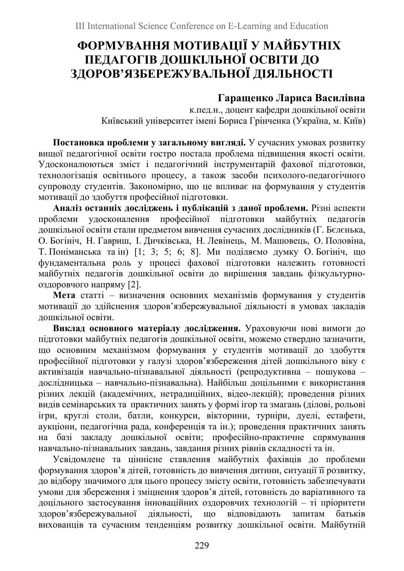# ФОРМУВАННЯ МОТИВАЦІЇ У МАЙБУТНІХ ПЕДАГОГІВ ДОШКІЛЬНОЇ ОСВІТИ ДО ЗДОРОВ'ЯЗБЕРЕЖУВАЛЬНОЇ ДІЯЛЬНОСТІ

### Гаращенко Лариса Василівна

к.пед.н., доцент кафедри дошкільної освіти Київський університет імені Бориса Грінченка (Україна, м. Київ)

Постановка проблеми у загальному вигляді. У сучасних умовах розвитку вищої педагогічної освіти гостро постала проблема підвищення якості освіти. Удосконалюються зміст і педагогічний інструментарій фахової підготовки, технологізація освітнього процесу, а також засоби психолого-педагогічного супроводу студентів. Закономірно, що це впливає на формування у студентів мотивації до здобуття професійної підготовки.

Аналіз останніх досліджень і публікацій з даної проблеми. Різні аспекти проблеми удосконалення професійної підготовки майбутніх педагогів дошкільної освіти стали предметом вивчення сучасних дослідників (Г. Бєлєнька, О. Богініч, Н. Гавриш, І. Дичківська, Н. Левінець, М. Машовець, О. Половіна, Т. Поніманська та ін) [1; 3; 5; 6; 8]. Ми поділяємо думку О. Богініч, що фундаментальна роль у процесі фахової підготовки належить готовності майбутніх педагогів дошкільної освіти до вирішення завдань фізкультурнооздоровчого напряму [2].

Мета статті – визначення основних механізмів формування у студентів мотивації до здійснення здоров'язбережувальної діяльності в умовах закладів дошкільної освіти.

Виклад основного матеріалу дослідження. Ураховуючи нові вимоги до підготовки майбутніх педагогів дошкільної освіти, можемо ствердно зазначити, що основним механізмом формування у студентів мотивації до здобуття професійної підготовки у галузі здоров'язбереження дітей дошкільного віку є активізація навчально-пізнавальної діяльності (репродуктивна – пошукова – дослідницька – навчально-пізнавальна). Найбільш доцільними є використання різних лекцій (академічних, нетрадиційних, відео-лекцій); проведення різних видів семінарських та практичних занять у формі ігор та змагань (ділові, рольові ігри, круглі столи, батли, конкурси, вікторини, турніри, дуелі, естафети, аукціони, педагогічна рада, конференція та ін.); проведення практичних занять на базі закладу дошкільної освіти; професійно-практичне спрямування навчально-пізнавальних завдань, завдання різних рівнів складності та ін.

Усвідомлене та ціннісне ставлення майбутніх фахівців до проблеми формування здоров'я дітей, готовність до вивчення дитини, ситуації її розвитку, до відбору значимого для цього процесу змісту освіти, готовність забезпечувати умови для збереження і зміцнення здоров'я дітей, готовність до варіативного та доцільного застосування інноваційних оздоровчих технологій – ті пріоритети здоров'язбережувальної діяльності, що відповідають запитам батьків вихованців та сучасним тенденціям розвитку дошкільної освіти. Майбутній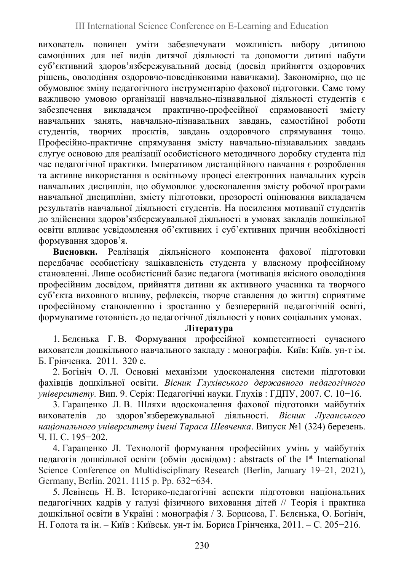вихователь повинен уміти забезпечувати можливість вибору дитиною самоцінних для неї видів дитячої діяльності та допомогти дитині набути суб'єктивний здоров'язбережувальний досвід (досвід прийняття оздоровчих рішень, оволодіння оздоровчо-поведінковими навичками). Закономірно, що це обумовлює зміну педагогічного інструментарію фахової підготовки. Саме тому важливою умовою організації навчально-пізнавальної діяльності студентів є забезпечення викладачем практично-професійної спрямованості змісту навчальних занять, навчально-пізнавальних завдань, самостійної роботи студентів, творчих проєктів, завдань оздоровчого спрямування тощо. Професійно-практичне спрямування змісту навчально-пізнавальних завдань слугує основою для реалізації особистісного методичного доробку студента під час педагогічної практики. Імперативом дистанційного навчання є розроблення та активне використання в освітньому процесі електронних навчальних курсів навчальних дисциплін, що обумовлює удосконалення змісту робочої програми навчальної дисципліни, змісту підготовки, прозорості оцінювання викладачем результатів навчальної діяльності студентів. На посилення мотивації студентів до здійснення здоров'язбережувальної діяльності в умовах закладів дошкільної освіти впливає усвідомлення об'єктивних і суб'єктивних причин необхідності формування здоров'я.

Висновки. Реалізація діяльнісного компонента фахової підготовки передбачає особистісну зацікавленість студента у власному професійному становленні. Лише особистісний базис педагога (мотивація якісного оволодіння професійним досвідом, прийняття дитини як активного учасника та творчого суб'єкта виховного впливу, рефлексія, творче ставлення до життя) сприятиме професійному становленню і зростанню у безперервній педагогічній освіті, формуватиме готовність до педагогічної діяльності у нових соціальних умовах.

#### Література

1. Бєлєнька Г. В. Формування професійної компетентності сучасного вихователя дошкільного навчального закладу : монографія. Київ: Київ. ун-т ім. Б. Грінченка. 2011. 320 с.

2. Богініч О. Л. Основні механізми удосконалення системи підготовки фахівців дошкільної освіти. Вісник Глухівського державного педагогічного університету. Вип. 9. Серія: Педагогічні науки. Глухів : ГДПУ, 2007. С. 10−16.

3. Гаращенко Л. В. Шляхи вдосконалення фахової підготовки майбутніх вихователів до здоров'язбережувальної діяльності. Вісник Луганського національного університету імені Тараса Шевченка. Випуск №1 (324) березень. Ч. ІІ. С. 195−202.

4. Гаращенко Л. Технології формування професійних умінь у майбутніх педагогів дошкільної освіти (обмін досвідом) : abstracts of the Ist International Science Conference on Multidisciplinary Research (Berlin, January 19–21, 2021), Germany, Berlin. 2021. 1115 p. Pp. 632−634.

5. Левінець Н. В. Історико-педагогічні аспекти підготовки національних педагогічних кадрів у галузі фізичного виховання дітей // Теорія і практика дошкільної освіти в Україні : монографія / З. Борисова, Г. Бєлєнька, О. Богініч, Н. Голота та ін. – Київ : Київськ. ун-т ім. Бориса Грінченка, 2011. – С. 205−216.